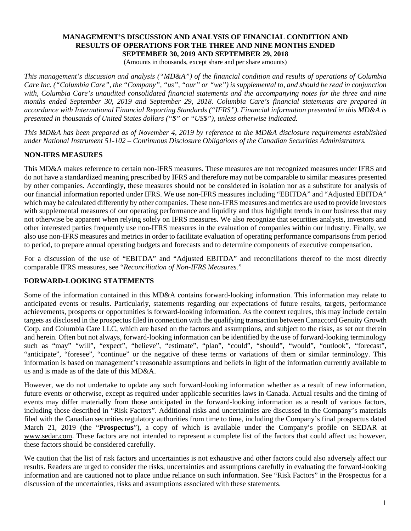#### **MANAGEMENT'S DISCUSSION AND ANALYSIS OF FINANCIAL CONDITION AND RESULTS OF OPERATIONS FOR THE THREE AND NINE MONTHS ENDED SEPTEMBER 30, 2019 AND SEPTEMBER 29, 2018**

(Amounts in thousands, except share and per share amounts)

*This management's discussion and analysis ("MD&A") of the financial condition and results of operations of Columbia Care Inc. ("Columbia Care", the "Company", "us", "our" or "we") is supplemental to, and should be read in conjunction with, Columbia Care's unaudited consolidated financial statements and the accompanying notes for the three and nine months ended September 30, 2019 and September 29, 2018. Columbia Care's financial statements are prepared in accordance with International Financial Reporting Standards ("IFRS"). Financial information presented in this MD&A is presented in thousands of United States dollars ("\$" or "US\$"), unless otherwise indicated.*

*This MD&A has been prepared as of November 4, 2019 by reference to the MD&A disclosure requirements established under National Instrument 51-102 – Continuous Disclosure Obligations of the Canadian Securities Administrators.*

## **NON-IFRS MEASURES**

This MD&A makes reference to certain non-IFRS measures. These measures are not recognized measures under IFRS and do not have a standardized meaning prescribed by IFRS and therefore may not be comparable to similar measures presented by other companies. Accordingly, these measures should not be considered in isolation nor as a substitute for analysis of our financial information reported under IFRS. We use non-IFRS measures including "EBITDA" and "Adjusted EBITDA" which may be calculated differently by other companies. These non-IFRS measures and metrics are used to provide investors with supplemental measures of our operating performance and liquidity and thus highlight trends in our business that may not otherwise be apparent when relying solely on IFRS measures. We also recognize that securities analysts, investors and other interested parties frequently use non-IFRS measures in the evaluation of companies within our industry. Finally, we also use non-IFRS measures and metrics in order to facilitate evaluation of operating performance comparisons from period to period, to prepare annual operating budgets and forecasts and to determine components of executive compensation.

For a discussion of the use of "EBITDA" and "Adjusted EBITDA" and reconciliations thereof to the most directly comparable IFRS measures, see "*Reconciliation of Non-IFRS Measures.*"

## **FORWARD-LOOKING STATEMENTS**

Some of the information contained in this MD&A contains forward-looking information. This information may relate to anticipated events or results. Particularly, statements regarding our expectations of future results, targets, performance achievements, prospects or opportunities is forward-looking information. As the context requires, this may include certain targets as disclosed in the prospectus filed in connection with the qualifying transaction between Canaccord Genuity Growth Corp. and Columbia Care LLC, which are based on the factors and assumptions, and subject to the risks, as set out therein and herein. Often but not always, forward-looking information can be identified by the use of forward-looking terminology such as "may" "will", "expect", "believe", "estimate", "plan", "could", "should", "would", "outlook", "forecast", "anticipate", "foresee", "continue" or the negative of these terms or variations of them or similar terminology. This information is based on management's reasonable assumptions and beliefs in light of the information currently available to us and is made as of the date of this MD&A.

However, we do not undertake to update any such forward-looking information whether as a result of new information, future events or otherwise, except as required under applicable securities laws in Canada. Actual results and the timing of events may differ materially from those anticipated in the forward-looking information as a result of various factors, including those described in "Risk Factors". Additional risks and uncertainties are discussed in the Company's materials filed with the Canadian securities regulatory authorities from time to time, including the Company's final prospectus dated March 21, 2019 (the "**Prospectus**"), a copy of which is available under the Company's profile on SEDAR at www.sedar.com. These factors are not intended to represent a complete list of the factors that could affect us; however, these factors should be considered carefully.

We caution that the list of risk factors and uncertainties is not exhaustive and other factors could also adversely affect our results. Readers are urged to consider the risks, uncertainties and assumptions carefully in evaluating the forward-looking information and are cautioned not to place undue reliance on such information. See "Risk Factors" in the Prospectus for a discussion of the uncertainties, risks and assumptions associated with these statements.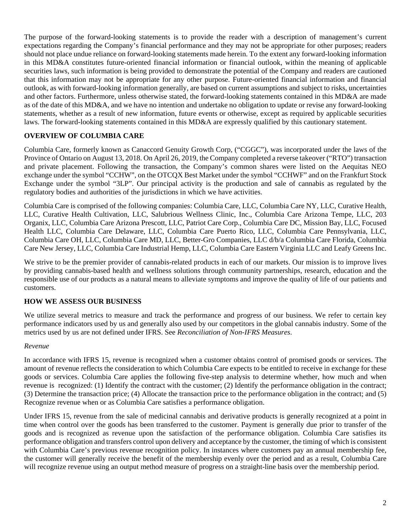The purpose of the forward-looking statements is to provide the reader with a description of management's current expectations regarding the Company's financial performance and they may not be appropriate for other purposes; readers should not place undue reliance on forward-looking statements made herein. To the extent any forward-looking information in this MD&A constitutes future-oriented financial information or financial outlook, within the meaning of applicable securities laws, such information is being provided to demonstrate the potential of the Company and readers are cautioned that this information may not be appropriate for any other purpose. Future-oriented financial information and financial outlook, as with forward-looking information generally, are based on current assumptions and subject to risks, uncertainties and other factors. Furthermore, unless otherwise stated, the forward-looking statements contained in this MD&A are made as of the date of this MD&A, and we have no intention and undertake no obligation to update or revise any forward-looking statements, whether as a result of new information, future events or otherwise, except as required by applicable securities laws. The forward-looking statements contained in this MD&A are expressly qualified by this cautionary statement.

## **OVERVIEW OF COLUMBIA CARE**

Columbia Care, formerly known as Canaccord Genuity Growth Corp, ("CGGC"), was incorporated under the laws of the Province of Ontario on August 13, 2018. On April 26, 2019, the Company completed a reverse takeover ("RTO") transaction and private placement. Following the transaction, the Company's common shares were listed on the Aequitas NEO exchange under the symbol "CCHW", on the OTCQX Best Market under the symbol "CCHWF" and on the Frankfurt Stock Exchange under the symbol "3LP". Our principal activity is the production and sale of cannabis as regulated by the regulatory bodies and authorities of the jurisdictions in which we have activities.

Columbia Care is comprised of the following companies: Columbia Care, LLC, Columbia Care NY, LLC, Curative Health, LLC, Curative Health Cultivation, LLC, Salubrious Wellness Clinic, Inc., Columbia Care Arizona Tempe, LLC, 203 Organix, LLC, Columbia Care Arizona Prescott, LLC, Patriot Care Corp., Columbia Care DC, Mission Bay, LLC, Focused Health LLC, Columbia Care Delaware, LLC, Columbia Care Puerto Rico, LLC, Columbia Care Pennsylvania, LLC, Columbia Care OH, LLC, Columbia Care MD, LLC, Better-Gro Companies, LLC d/b/a Columbia Care Florida, Columbia Care New Jersey, LLC, Columbia Care Industrial Hemp, LLC, Columbia Care Eastern Virginia LLC and Leafy Greens Inc.

We strive to be the premier provider of cannabis-related products in each of our markets. Our mission is to improve lives by providing cannabis-based health and wellness solutions through community partnerships, research, education and the responsible use of our products as a natural means to alleviate symptoms and improve the quality of life of our patients and customers.

## **HOW WE ASSESS OUR BUSINESS**

We utilize several metrics to measure and track the performance and progress of our business. We refer to certain key performance indicators used by us and generally also used by our competitors in the global cannabis industry. Some of the metrics used by us are not defined under IFRS. See *Reconciliation of Non-IFRS Measures*.

### *Revenue*

In accordance with IFRS 15, revenue is recognized when a customer obtains control of promised goods or services. The amount of revenue reflects the consideration to which Columbia Care expects to be entitled to receive in exchange for these goods or services. Columbia Care applies the following five-step analysis to determine whether, how much and when revenue is recognized: (1) Identify the contract with the customer; (2) Identify the performance obligation in the contract; (3) Determine the transaction price; (4) Allocate the transaction price to the performance obligation in the contract; and (5) Recognize revenue when or as Columbia Care satisfies a performance obligation.

Under IFRS 15, revenue from the sale of medicinal cannabis and derivative products is generally recognized at a point in time when control over the goods has been transferred to the customer. Payment is generally due prior to transfer of the goods and is recognized as revenue upon the satisfaction of the performance obligation. Columbia Care satisfies its performance obligation and transfers control upon delivery and acceptance by the customer, the timing of which is consistent with Columbia Care's previous revenue recognition policy. In instances where customers pay an annual membership fee, the customer will generally receive the benefit of the membership evenly over the period and as a result, Columbia Care will recognize revenue using an output method measure of progress on a straight-line basis over the membership period.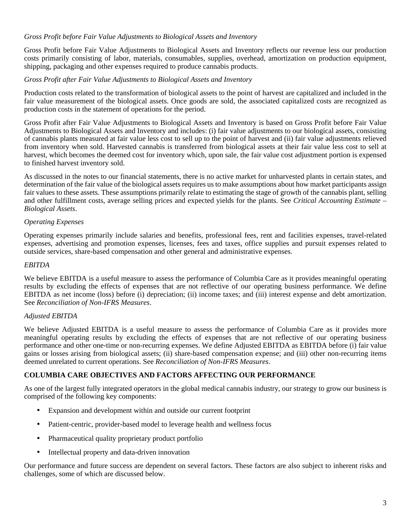## *Gross Profit before Fair Value Adjustments to Biological Assets and Inventory*

Gross Profit before Fair Value Adjustments to Biological Assets and Inventory reflects our revenue less our production costs primarily consisting of labor, materials, consumables, supplies, overhead, amortization on production equipment, shipping, packaging and other expenses required to produce cannabis products.

### *Gross Profit after Fair Value Adjustments to Biological Assets and Inventory*

Production costs related to the transformation of biological assets to the point of harvest are capitalized and included in the fair value measurement of the biological assets. Once goods are sold, the associated capitalized costs are recognized as production costs in the statement of operations for the period.

Gross Profit after Fair Value Adjustments to Biological Assets and Inventory is based on Gross Profit before Fair Value Adjustments to Biological Assets and Inventory and includes: (i) fair value adjustments to our biological assets, consisting of cannabis plants measured at fair value less cost to sell up to the point of harvest and (ii) fair value adjustments relieved from inventory when sold. Harvested cannabis is transferred from biological assets at their fair value less cost to sell at harvest, which becomes the deemed cost for inventory which, upon sale, the fair value cost adjustment portion is expensed to finished harvest inventory sold.

As discussed in the notes to our financial statements, there is no active market for unharvested plants in certain states, and determination of the fair value of the biological assets requires us to make assumptions about how market participants assign fair values to these assets. These assumptions primarily relate to estimating the stage of growth of the cannabis plant, selling and other fulfillment costs, average selling prices and expected yields for the plants. See *Critical Accounting Estimate – Biological Assets*.

## *Operating Expenses*

Operating expenses primarily include salaries and benefits, professional fees, rent and facilities expenses, travel-related expenses, advertising and promotion expenses, licenses, fees and taxes, office supplies and pursuit expenses related to outside services, share-based compensation and other general and administrative expenses.

### *EBITDA*

We believe EBITDA is a useful measure to assess the performance of Columbia Care as it provides meaningful operating results by excluding the effects of expenses that are not reflective of our operating business performance. We define EBITDA as net income (loss) before (i) depreciation; (ii) income taxes; and (iii) interest expense and debt amortization. See *Reconciliation of Non-IFRS Measures*.

### *Adjusted EBITDA*

We believe Adjusted EBITDA is a useful measure to assess the performance of Columbia Care as it provides more meaningful operating results by excluding the effects of expenses that are not reflective of our operating business performance and other one-time or non-recurring expenses. We define Adjusted EBITDA as EBITDA before (i) fair value gains or losses arising from biological assets; (ii) share-based compensation expense; and (iii) other non-recurring items deemed unrelated to current operations. See *Reconciliation of Non-IFRS Measures*.

## **COLUMBIA CARE OBJECTIVES AND FACTORS AFFECTING OUR PERFORMANCE**

As one of the largest fully integrated operators in the global medical cannabis industry, our strategy to grow our business is comprised of the following key components:

- Expansion and development within and outside our current footprint
- Patient-centric, provider-based model to leverage health and wellness focus
- Pharmaceutical quality proprietary product portfolio
- Intellectual property and data-driven innovation

Our performance and future success are dependent on several factors. These factors are also subject to inherent risks and challenges, some of which are discussed below.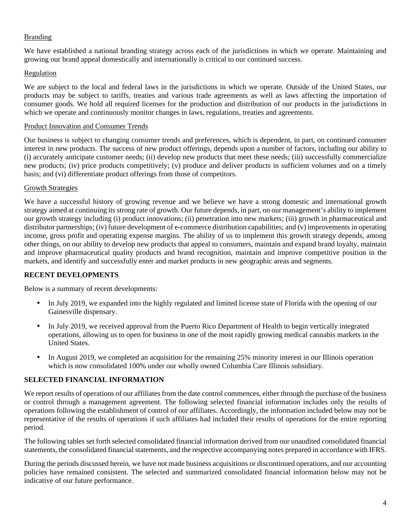## Branding

We have established a national branding strategy across each of the jurisdictions in which we operate. Maintaining and growing our brand appeal domestically and internationally is critical to our continued success.

## Regulation

We are subject to the local and federal laws in the jurisdictions in which we operate. Outside of the United States, our products may be subject to tariffs, treaties and various trade agreements as well as laws affecting the importation of consumer goods. We hold all required licenses for the production and distribution of our products in the jurisdictions in which we operate and continuously monitor changes in laws, regulations, treaties and agreements.

### Product Innovation and Consumer Trends

Our business is subject to changing consumer trends and preferences, which is dependent, in part, on continued consumer interest in new products. The success of new product offerings, depends upon a number of factors, including our ability to (i) accurately anticipate customer needs; (ii) develop new products that meet these needs; (iii) successfully commercialize new products; (iv) price products competitively; (v) produce and deliver products in sufficient volumes and on a timely basis; and (vi) differentiate product offerings from those of competitors.

## Growth Strategies

We have a successful history of growing revenue and we believe we have a strong domestic and international growth strategy aimed at continuing its strong rate of growth. Our future depends, in part, on our management's ability to implement our growth strategy including (i) product innovations; (ii) penetration into new markets; (iii) growth in pharmaceutical and distributor partnerships; (iv) future development of e-commerce distribution capabilities; and (v) improvements in operating income, gross profit and operating expense margins. The ability of us to implement this growth strategy depends, among other things, on our ability to develop new products that appeal to consumers, maintain and expand brand loyalty, maintain and improve pharmaceutical quality products and brand recognition, maintain and improve competitive position in the markets, and identify and successfully enter and market products in new geographic areas and segments.

## **RECENT DEVELOPMENTS**

Below is a summary of recent developments:

- In July 2019, we expanded into the highly regulated and limited license state of Florida with the opening of our Gainesville dispensary.
- In July 2019, we received approval from the Puerto Rico Department of Health to begin vertically integrated operations, allowing us to open for business in one of the most rapidly growing medical cannabis markets in the United States.
- In August 2019, we completed an acquisition for the remaining 25% minority interest in our Illinois operation which is now consolidated 100% under our wholly owned Columbia Care Illinois subsidiary.

## **SELECTED FINANCIAL INFORMATION**

We report results of operations of our affiliates from the date control commences, either through the purchase of the business or control through a management agreement. The following selected financial information includes only the results of operations following the establishment of control of our affiliates. Accordingly, the information included below may not be representative of the results of operations if such affiliates had included their results of operations for the entire reporting period.

The following tables set forth selected consolidated financial information derived from our unaudited consolidated financial statements, the consolidated financial statements, and the respective accompanying notes prepared in accordance with IFRS.

During the periods discussed herein, we have not made business acquisitions or discontinued operations, and our accounting policies have remained consistent. The selected and summarized consolidated financial information below may not be indicative of our future performance.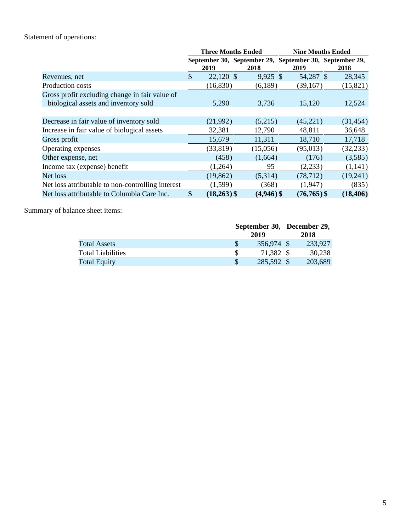# Statement of operations:

|                                                   | <b>Three Months Ended</b> |               |                                                                 |  | <b>Nine Months Ended</b> |      |           |  |  |
|---------------------------------------------------|---------------------------|---------------|-----------------------------------------------------------------|--|--------------------------|------|-----------|--|--|
|                                                   |                           | 2019          | September 30, September 29, September 30, September 29,<br>2018 |  | 2019                     | 2018 |           |  |  |
| Revenues, net                                     | $\mathcal{S}$             | 22,120 \$     | $9,925$ \$                                                      |  | 54,287 \$                |      | 28,345    |  |  |
| Production costs                                  |                           | (16,830)      | (6,189)                                                         |  | (39, 167)                |      | (15, 821) |  |  |
| Gross profit excluding change in fair value of    |                           |               |                                                                 |  |                          |      |           |  |  |
| biological assets and inventory sold              |                           | 5,290         | 3,736                                                           |  | 15,120                   |      | 12,524    |  |  |
|                                                   |                           |               |                                                                 |  |                          |      |           |  |  |
| Decrease in fair value of inventory sold          |                           | (21,992)      | (5,215)                                                         |  | (45,221)                 |      | (31, 454) |  |  |
| Increase in fair value of biological assets       |                           | 32,381        | 12,790                                                          |  | 48,811                   |      | 36,648    |  |  |
| Gross profit                                      |                           | 15,679        | 11,311                                                          |  | 18,710                   |      | 17,718    |  |  |
| Operating expenses                                |                           | (33, 819)     | (15,056)                                                        |  | (95, 013)                |      | (32, 233) |  |  |
| Other expense, net                                |                           | (458)         | (1,664)                                                         |  | (176)                    |      | (3,585)   |  |  |
| Income tax (expense) benefit                      |                           | (1,264)       | 95                                                              |  | (2,233)                  |      | (1,141)   |  |  |
| Net loss                                          |                           | (19, 862)     | (5,314)                                                         |  | (78, 712)                |      | (19,241)  |  |  |
| Net loss attributable to non-controlling interest |                           | (1, 599)      | (368)                                                           |  | (1,947)                  |      | (835)     |  |  |
| Net loss attributable to Columbia Care Inc.       | \$                        | $(18,263)$ \$ | $(4,946)$ \$                                                    |  | $(76, 765)$ \$           |      | (18, 406) |  |  |

Summary of balance sheet items:

|                          |               |            | September 30, December 29, |         |  |
|--------------------------|---------------|------------|----------------------------|---------|--|
|                          |               | 2019       | 2018                       |         |  |
| Total Assets             | \$.           | 356,974 \$ |                            | 233.927 |  |
| <b>Total Liabilities</b> |               | 71.382 \$  |                            | 30.238  |  |
| <b>Total Equity</b>      | <sup>\$</sup> | 285,592 \$ |                            | 203,689 |  |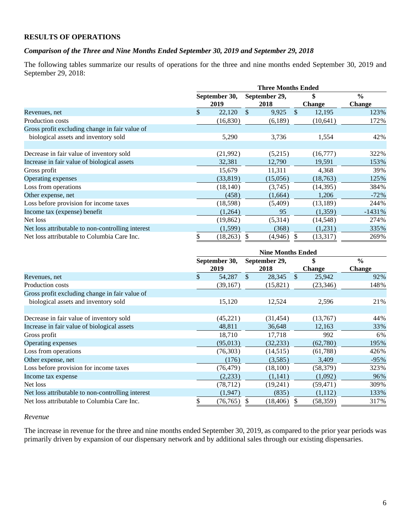## **RESULTS OF OPERATIONS**

### *Comparison of the Three and Nine Months Ended September 30, 2019 and September 29, 2018*

The following tables summarize our results of operations for the three and nine months ended September 30, 2019 and September 29, 2018:

|                                                   | <b>Three Months Ended</b> |               |               |               |               |               |               |  |
|---------------------------------------------------|---------------------------|---------------|---------------|---------------|---------------|---------------|---------------|--|
|                                                   |                           | September 30, |               | September 29, | \$            |               | $\frac{0}{0}$ |  |
|                                                   |                           | 2019          |               | 2018          |               | <b>Change</b> | <b>Change</b> |  |
| Revenues, net                                     | \$                        | 22,120        | $\mathcal{S}$ | 9,925         | $\mathbb{S}$  | 12,195        | 123%          |  |
| Production costs                                  |                           | (16,830)      |               | (6,189)       |               | (10, 641)     | 172%          |  |
| Gross profit excluding change in fair value of    |                           |               |               |               |               |               |               |  |
| biological assets and inventory sold              |                           | 5,290         |               | 3,736         |               | 1,554         | 42%           |  |
|                                                   |                           |               |               |               |               |               |               |  |
| Decrease in fair value of inventory sold          |                           | (21,992)      |               | (5,215)       |               | (16,777)      | 322%          |  |
| Increase in fair value of biological assets       |                           | 32,381        |               | 12,790        |               | 19,591        | 153%          |  |
| Gross profit                                      |                           | 15,679        |               | 11,311        |               | 4,368         | 39%           |  |
| Operating expenses                                |                           | (33,819)      |               | (15,056)      |               | (18, 763)     | 125%          |  |
| Loss from operations                              |                           | (18, 140)     |               | (3,745)       |               | (14,395)      | 384%          |  |
| Other expense, net                                |                           | (458)         |               | (1,664)       |               | 1,206         | $-72%$        |  |
| Loss before provision for income taxes            |                           | (18,598)      |               | (5,409)       |               | (13, 189)     | 244%          |  |
| Income tax (expense) benefit                      |                           | (1,264)       |               | 95            |               | (1,359)       | $-1431%$      |  |
| Net loss                                          |                           | (19, 862)     |               | (5,314)       |               | (14, 548)     | 274%          |  |
| Net loss attributable to non-controlling interest |                           | (1, 599)      |               | (368)         |               | (1,231)       | 335%          |  |
| Net loss attributable to Columbia Care Inc.       | \$                        | (18, 263)     | \$            | (4,946)       | <sup>\$</sup> | (13, 317)     | 269%          |  |

|                                                   | <b>Nine Months Ended</b> |               |               |               |           |               |  |  |
|---------------------------------------------------|--------------------------|---------------|---------------|---------------|-----------|---------------|--|--|
|                                                   |                          | September 30, | September 29, |               | \$        | $\frac{0}{0}$ |  |  |
|                                                   |                          | 2019          | 2018          | <b>Change</b> |           | <b>Change</b> |  |  |
| Revenues, net                                     | $\mathbb{S}$             | 54,287        | \$.<br>28,345 | <sup>\$</sup> | 25,942    | 92%           |  |  |
| Production costs                                  |                          | (39, 167)     | (15,821)      |               | (23, 346) | 148%          |  |  |
| Gross profit excluding change in fair value of    |                          |               |               |               |           |               |  |  |
| biological assets and inventory sold              |                          | 15,120        | 12,524        |               | 2,596     | 21%           |  |  |
|                                                   |                          |               |               |               |           |               |  |  |
| Decrease in fair value of inventory sold          |                          | (45,221)      | (31, 454)     |               | (13,767)  | 44%           |  |  |
| Increase in fair value of biological assets       |                          | 48,811        | 36,648        |               | 12,163    | 33%           |  |  |
| Gross profit                                      |                          | 18,710        | 17,718        |               | 992       | 6%            |  |  |
| Operating expenses                                |                          | (95,013)      | (32, 233)     |               | (62,780)  | 195%          |  |  |
| Loss from operations                              |                          | (76,303)      | (14,515)      |               | (61,788)  | 426%          |  |  |
| Other expense, net                                |                          | (176)         | (3,585)       |               | 3,409     | $-95%$        |  |  |
| Loss before provision for income taxes            |                          | (76, 479)     | (18,100)      |               | (58, 379) | 323%          |  |  |
| Income tax expense                                |                          | (2,233)       | (1,141)       |               | (1,092)   | 96%           |  |  |
| Net loss                                          |                          | (78, 712)     | (19,241)      |               | (59, 471) | 309%          |  |  |
| Net loss attributable to non-controlling interest |                          | (1, 947)      | (835)         |               | (1,112)   | 133%          |  |  |
| Net loss attributable to Columbia Care Inc.       |                          | (76, 765)     | (18, 406)     |               | (58, 359) | 317%          |  |  |

#### *Revenue*

The increase in revenue for the three and nine months ended September 30, 2019, as compared to the prior year periods was primarily driven by expansion of our dispensary network and by additional sales through our existing dispensaries.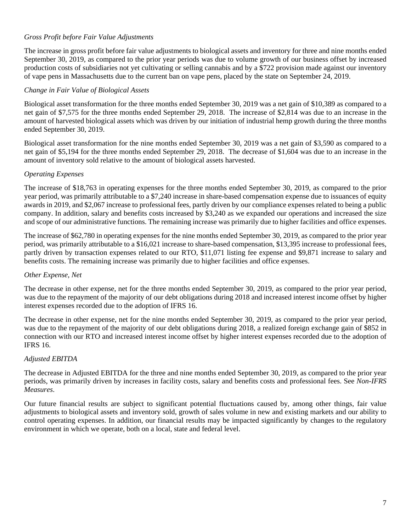## *Gross Profit before Fair Value Adjustments*

The increase in gross profit before fair value adjustments to biological assets and inventory for three and nine months ended September 30, 2019, as compared to the prior year periods was due to volume growth of our business offset by increased production costs of subsidiaries not yet cultivating or selling cannabis and by a \$722 provision made against our inventory of vape pens in Massachusetts due to the current ban on vape pens, placed by the state on September 24, 2019.

### *Change in Fair Value of Biological Assets*

Biological asset transformation for the three months ended September 30, 2019 was a net gain of \$10,389 as compared to a net gain of \$7,575 for the three months ended September 29, 2018. The increase of \$2,814 was due to an increase in the amount of harvested biological assets which was driven by our initiation of industrial hemp growth during the three months ended September 30, 2019.

Biological asset transformation for the nine months ended September 30, 2019 was a net gain of \$3,590 as compared to a net gain of \$5,194 for the three months ended September 29, 2018. The decrease of \$1,604 was due to an increase in the amount of inventory sold relative to the amount of biological assets harvested.

### *Operating Expenses*

The increase of \$18,763 in operating expenses for the three months ended September 30, 2019, as compared to the prior year period, was primarily attributable to a \$7,240 increase in share-based compensation expense due to issuances of equity awards in 2019, and \$2,067 increase to professional fees, partly driven by our compliance expenses related to being a public company. In addition, salary and benefits costs increased by \$3,240 as we expanded our operations and increased the size and scope of our administrative functions. The remaining increase was primarily due to higher facilities and office expenses.

The increase of \$62,780 in operating expenses for the nine months ended September 30, 2019, as compared to the prior year period, was primarily attributable to a \$16,021 increase to share-based compensation, \$13,395 increase to professional fees, partly driven by transaction expenses related to our RTO, \$11,071 listing fee expense and \$9,871 increase to salary and benefits costs. The remaining increase was primarily due to higher facilities and office expenses.

### *Other Expense, Net*

The decrease in other expense, net for the three months ended September 30, 2019, as compared to the prior year period, was due to the repayment of the majority of our debt obligations during 2018 and increased interest income offset by higher interest expenses recorded due to the adoption of IFRS 16.

The decrease in other expense, net for the nine months ended September 30, 2019, as compared to the prior year period, was due to the repayment of the majority of our debt obligations during 2018, a realized foreign exchange gain of \$852 in connection with our RTO and increased interest income offset by higher interest expenses recorded due to the adoption of IFRS 16.

### *Adjusted EBITDA*

The decrease in Adjusted EBITDA for the three and nine months ended September 30, 2019, as compared to the prior year periods, was primarily driven by increases in facility costs, salary and benefits costs and professional fees. See *Non-IFRS Measures*.

Our future financial results are subject to significant potential fluctuations caused by, among other things, fair value adjustments to biological assets and inventory sold, growth of sales volume in new and existing markets and our ability to control operating expenses. In addition, our financial results may be impacted significantly by changes to the regulatory environment in which we operate, both on a local, state and federal level.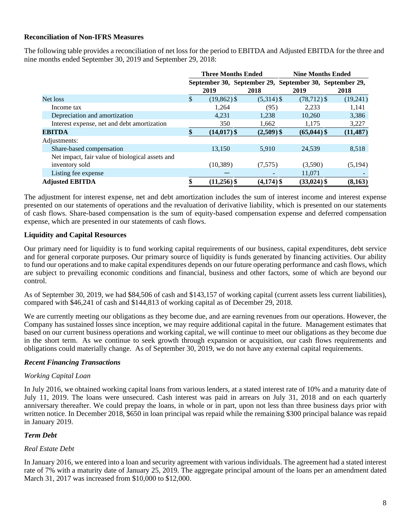## **Reconciliation of Non-IFRS Measures**

The following table provides a reconciliation of net loss for the period to EBITDA and Adjusted EBITDA for the three and nine months ended September 30, 2019 and September 29, 2018:

|                                                 | <b>Three Months Ended</b> |              | <b>Nine Months Ended</b>                                |           |  |  |  |
|-------------------------------------------------|---------------------------|--------------|---------------------------------------------------------|-----------|--|--|--|
|                                                 |                           |              | September 30, September 29, September 30, September 29, |           |  |  |  |
|                                                 | 2019                      | 2018         | 2019                                                    | 2018      |  |  |  |
| Net loss                                        | \$<br>$(19,862)$ \$       | $(5,314)$ \$ | $(78, 712)$ \$                                          | (19,241)  |  |  |  |
| Income tax                                      | 1,264                     | (95)         | 2,233                                                   | 1,141     |  |  |  |
| Depreciation and amortization                   | 4,231                     | 1,238        | 10,260                                                  | 3,386     |  |  |  |
| Interest expense, net and debt amortization     | 350                       | 1,662        | 1,175                                                   | 3,227     |  |  |  |
| <b>EBITDA</b>                                   | $(14, 017)$ \$            | $(2,509)$ \$ | $(65,044)$ \$                                           | (11, 487) |  |  |  |
| Adjustments:                                    |                           |              |                                                         |           |  |  |  |
| Share-based compensation                        | 13.150                    | 5.910        | 24.539                                                  | 8,518     |  |  |  |
| Net impact, fair value of biological assets and |                           |              |                                                         |           |  |  |  |
| inventory sold                                  | (10, 389)                 | (7,575)      | (3,590)                                                 | (5, 194)  |  |  |  |
| Listing fee expense                             |                           |              | 11,071                                                  |           |  |  |  |
| <b>Adjusted EBITDA</b>                          | $(11,256)$ \$             | $(4,174)$ \$ | $(33,024)$ \$                                           | (8,163)   |  |  |  |

The adjustment for interest expense, net and debt amortization includes the sum of interest income and interest expense presented on our statements of operations and the revaluation of derivative liability, which is presented on our statements of cash flows. Share-based compensation is the sum of equity-based compensation expense and deferred compensation expense, which are presented in our statements of cash flows.

## **Liquidity and Capital Resources**

Our primary need for liquidity is to fund working capital requirements of our business, capital expenditures, debt service and for general corporate purposes. Our primary source of liquidity is funds generated by financing activities. Our ability to fund our operations and to make capital expenditures depends on our future operating performance and cash flows, which are subject to prevailing economic conditions and financial, business and other factors, some of which are beyond our control.

As of September 30, 2019, we had \$84,506 of cash and \$143,157 of working capital (current assets less current liabilities), compared with \$46,241 of cash and \$144,813 of working capital as of December 29, 2018.

We are currently meeting our obligations as they become due, and are earning revenues from our operations. However, the Company has sustained losses since inception, we may require additional capital in the future. Management estimates that based on our current business operations and working capital, we will continue to meet our obligations as they become due in the short term. As we continue to seek growth through expansion or acquisition, our cash flows requirements and obligations could materially change. As of September 30, 2019, we do not have any external capital requirements.

### *Recent Financing Transactions*

### *Working Capital Loan*

In July 2016, we obtained working capital loans from various lenders, at a stated interest rate of 10% and a maturity date of July 11, 2019. The loans were unsecured. Cash interest was paid in arrears on July 31, 2018 and on each quarterly anniversary thereafter. We could prepay the loans, in whole or in part, upon not less than three business days prior with written notice. In December 2018, \$650 in loan principal was repaid while the remaining \$300 principal balance was repaid in January 2019.

### *Term Debt*

### *Real Estate Debt*

In January 2016, we entered into a loan and security agreement with various individuals. The agreement had a stated interest rate of 7% with a maturity date of January 25, 2019. The aggregate principal amount of the loans per an amendment dated March 31, 2017 was increased from \$10,000 to \$12,000.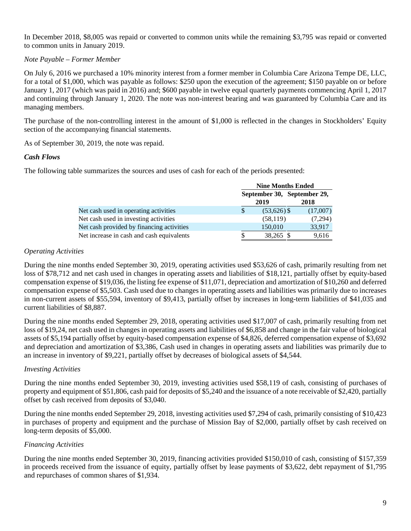In December 2018, \$8,005 was repaid or converted to common units while the remaining \$3,795 was repaid or converted to common units in January 2019.

## *Note Payable – Former Member*

On July 6, 2016 we purchased a 10% minority interest from a former member in Columbia Care Arizona Tempe DE, LLC, for a total of \$1,000, which was payable as follows: \$250 upon the execution of the agreement; \$150 payable on or before January 1, 2017 (which was paid in 2016) and; \$600 payable in twelve equal quarterly payments commencing April 1, 2017 and continuing through January 1, 2020. The note was non-interest bearing and was guaranteed by Columbia Care and its managing members.

The purchase of the non-controlling interest in the amount of \$1,000 is reflected in the changes in Stockholders' Equity section of the accompanying financial statements.

As of September 30, 2019, the note was repaid.

### *Cash Flows*

The following table summarizes the sources and uses of cash for each of the periods presented:

|                                           | <b>Nine Months Ended</b> |                             |          |  |  |  |
|-------------------------------------------|--------------------------|-----------------------------|----------|--|--|--|
|                                           |                          | September 30, September 29, |          |  |  |  |
|                                           |                          | 2019                        | 2018     |  |  |  |
| Net cash used in operating activities     | S                        | $(53,626)$ \$               | (17,007) |  |  |  |
| Net cash used in investing activities     |                          | (58, 119)                   | (7,294)  |  |  |  |
| Net cash provided by financing activities |                          | 150,010                     | 33,917   |  |  |  |
| Net increase in cash and cash equivalents |                          | 38,265 \$                   | 9,616    |  |  |  |

#### *Operating Activities*

During the nine months ended September 30, 2019, operating activities used \$53,626 of cash, primarily resulting from net loss of \$78,712 and net cash used in changes in operating assets and liabilities of \$18,121, partially offset by equity-based compensation expense of \$19,036, the listing fee expense of \$11,071, depreciation and amortization of \$10,260 and deferred compensation expense of \$5,503. Cash used due to changes in operating assets and liabilities was primarily due to increases in non-current assets of \$55,594, inventory of \$9,413, partially offset by increases in long-term liabilities of \$41,035 and current liabilities of \$8,887.

During the nine months ended September 29, 2018, operating activities used \$17,007 of cash, primarily resulting from net loss of \$19,24, net cash used in changes in operating assets and liabilities of \$6,858 and change in the fair value of biological assets of \$5,194 partially offset by equity-based compensation expense of \$4,826, deferred compensation expense of \$3,692 and depreciation and amortization of \$3,386, Cash used in changes in operating assets and liabilities was primarily due to an increase in inventory of \$9,221, partially offset by decreases of biological assets of \$4,544.

### *Investing Activities*

During the nine months ended September 30, 2019, investing activities used \$58,119 of cash, consisting of purchases of property and equipment of \$51,806, cash paid for deposits of \$5,240 and the issuance of a note receivable of \$2,420, partially offset by cash received from deposits of \$3,040.

During the nine months ended September 29, 2018, investing activities used \$7,294 of cash, primarily consisting of \$10,423 in purchases of property and equipment and the purchase of Mission Bay of \$2,000, partially offset by cash received on long-term deposits of \$5,000.

### *Financing Activities*

During the nine months ended September 30, 2019, financing activities provided \$150,010 of cash, consisting of \$157,359 in proceeds received from the issuance of equity, partially offset by lease payments of \$3,622, debt repayment of \$1,795 and repurchases of common shares of \$1,934.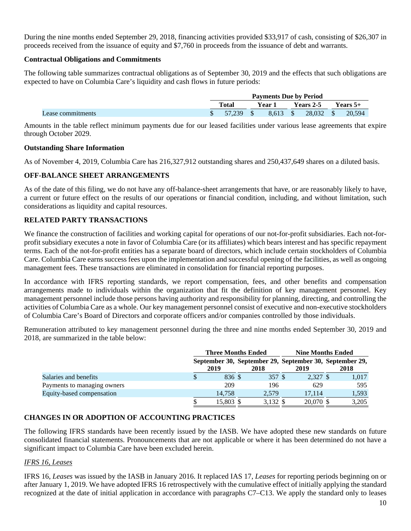During the nine months ended September 29, 2018, financing activities provided \$33,917 of cash, consisting of \$26,307 in proceeds received from the issuance of equity and \$7,760 in proceeds from the issuance of debt and warrants.

### **Contractual Obligations and Commitments**

The following table summarizes contractual obligations as of September 30, 2019 and the effects that such obligations are expected to have on Columbia Care's liquidity and cash flows in future periods:

|                   | <b>Payments Due by Period</b> |                 |  |          |  |           |            |        |
|-------------------|-------------------------------|-----------------|--|----------|--|-----------|------------|--------|
|                   |                               | Total<br>Year 1 |  |          |  | Years 2-5 | Years $5+$ |        |
| Lease commitments |                               | 57.239          |  | 8.613 \$ |  | 28.032 \$ |            | 20.594 |

Amounts in the table reflect minimum payments due for our leased facilities under various lease agreements that expire through October 2029.

### **Outstanding Share Information**

As of November 4, 2019, Columbia Care has 216,327,912 outstanding shares and 250,437,649 shares on a diluted basis.

## **OFF-BALANCE SHEET ARRANGEMENTS**

As of the date of this filing, we do not have any off-balance-sheet arrangements that have, or are reasonably likely to have, a current or future effect on the results of our operations or financial condition, including, and without limitation, such considerations as liquidity and capital resources.

## **RELATED PARTY TRANSACTIONS**

We finance the construction of facilities and working capital for operations of our not-for-profit subsidiaries. Each not-forprofit subsidiary executes a note in favor of Columbia Care (or its affiliates) which bears interest and has specific repayment terms. Each of the not-for-profit entities has a separate board of directors, which include certain stockholders of Columbia Care. Columbia Care earns success fees upon the implementation and successful opening of the facilities, as well as ongoing management fees. These transactions are eliminated in consolidation for financial reporting purposes.

In accordance with IFRS reporting standards, we report compensation, fees, and other benefits and compensation arrangements made to individuals within the organization that fit the definition of key management personnel. Key management personnel include those persons having authority and responsibility for planning, directing, and controlling the activities of Columbia Care as a whole. Our key management personnel consist of executive and non-executive stockholders of Columbia Care's Board of Directors and corporate officers and/or companies controlled by those individuals.

Remuneration attributed to key management personnel during the three and nine months ended September 30, 2019 and 2018, are summarized in the table below:

|                             |           | <b>Three Months Ended</b> | <b>Nine Months Ended</b>                                        |       |  |  |
|-----------------------------|-----------|---------------------------|-----------------------------------------------------------------|-------|--|--|
|                             | 2019      | 2018                      | September 30, September 29, September 30, September 29,<br>2019 | 2018  |  |  |
| Salaries and benefits       | 836 \$    | 357 \$                    | 2,327 \$                                                        | 1,017 |  |  |
| Payments to managing owners | 209       | 196                       | 629                                                             | 595   |  |  |
| Equity-based compensation   | 14,758    | 2,579                     | 17.114                                                          | 1,593 |  |  |
|                             | 15,803 \$ | 3,132 \$                  | 20,070 \$                                                       | 3,205 |  |  |

## **CHANGES IN OR ADOPTION OF ACCOUNTING PRACTICES**

The following IFRS standards have been recently issued by the IASB. We have adopted these new standards on future consolidated financial statements. Pronouncements that are not applicable or where it has been determined do not have a significant impact to Columbia Care have been excluded herein.

### *IFRS 16, Leases*

IFRS 16, *Leases* was issued by the IASB in January 2016. It replaced IAS 17, *Leases* for reporting periods beginning on or after January 1, 2019. We have adopted IFRS 16 retrospectively with the cumulative effect of initially applying the standard recognized at the date of initial application in accordance with paragraphs C7–C13. We apply the standard only to leases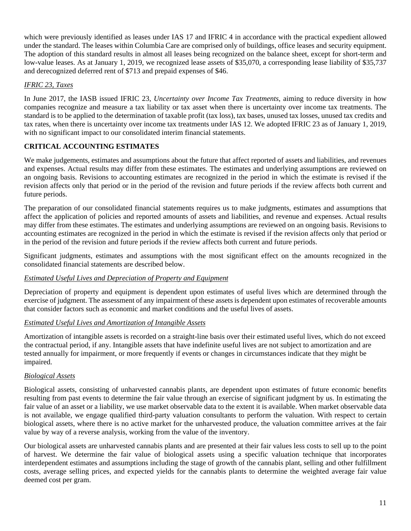which were previously identified as leases under IAS 17 and IFRIC 4 in accordance with the practical expedient allowed under the standard. The leases within Columbia Care are comprised only of buildings, office leases and security equipment. The adoption of this standard results in almost all leases being recognized on the balance sheet, except for short-term and low-value leases. As at January 1, 2019, we recognized lease assets of \$35,070, a corresponding lease liability of \$35,737 and derecognized deferred rent of \$713 and prepaid expenses of \$46.

## *IFRIC 23, Taxes*

In June 2017, the IASB issued IFRIC 23, *Uncertainty over Income Tax Treatments*, aiming to reduce diversity in how companies recognize and measure a tax liability or tax asset when there is uncertainty over income tax treatments. The standard is to be applied to the determination of taxable profit (tax loss), tax bases, unused tax losses, unused tax credits and tax rates, when there is uncertainty over income tax treatments under IAS 12. We adopted IFRIC 23 as of January 1, 2019, with no significant impact to our consolidated interim financial statements.

## **CRITICAL ACCOUNTING ESTIMATES**

We make judgements, estimates and assumptions about the future that affect reported of assets and liabilities, and revenues and expenses. Actual results may differ from these estimates. The estimates and underlying assumptions are reviewed on an ongoing basis. Revisions to accounting estimates are recognized in the period in which the estimate is revised if the revision affects only that period or in the period of the revision and future periods if the review affects both current and future periods.

The preparation of our consolidated financial statements requires us to make judgments, estimates and assumptions that affect the application of policies and reported amounts of assets and liabilities, and revenue and expenses. Actual results may differ from these estimates. The estimates and underlying assumptions are reviewed on an ongoing basis. Revisions to accounting estimates are recognized in the period in which the estimate is revised if the revision affects only that period or in the period of the revision and future periods if the review affects both current and future periods.

Significant judgments, estimates and assumptions with the most significant effect on the amounts recognized in the consolidated financial statements are described below.

## *Estimated Useful Lives and Depreciation of Property and Equipment*

Depreciation of property and equipment is dependent upon estimates of useful lives which are determined through the exercise of judgment. The assessment of any impairment of these assets is dependent upon estimates of recoverable amounts that consider factors such as economic and market conditions and the useful lives of assets.

## *Estimated Useful Lives and Amortization of Intangible Assets*

Amortization of intangible assets is recorded on a straight-line basis over their estimated useful lives, which do not exceed the contractual period, if any. Intangible assets that have indefinite useful lives are not subject to amortization and are tested annually for impairment, or more frequently if events or changes in circumstances indicate that they might be impaired.

## *Biological Assets*

Biological assets, consisting of unharvested cannabis plants, are dependent upon estimates of future economic benefits resulting from past events to determine the fair value through an exercise of significant judgment by us. In estimating the fair value of an asset or a liability, we use market observable data to the extent it is available. When market observable data is not available, we engage qualified third-party valuation consultants to perform the valuation. With respect to certain biological assets, where there is no active market for the unharvested produce, the valuation committee arrives at the fair value by way of a reverse analysis, working from the value of the inventory.

Our biological assets are unharvested cannabis plants and are presented at their fair values less costs to sell up to the point of harvest. We determine the fair value of biological assets using a specific valuation technique that incorporates interdependent estimates and assumptions including the stage of growth of the cannabis plant, selling and other fulfillment costs, average selling prices, and expected yields for the cannabis plants to determine the weighted average fair value deemed cost per gram.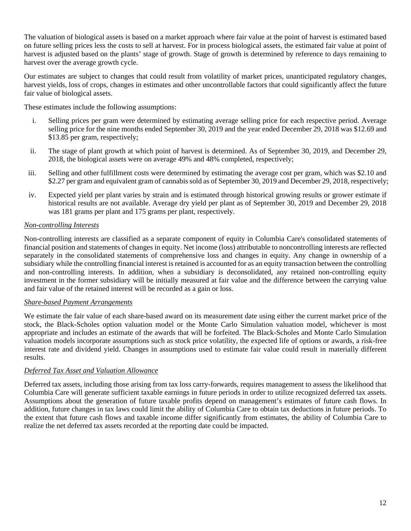The valuation of biological assets is based on a market approach where fair value at the point of harvest is estimated based on future selling prices less the costs to sell at harvest. For in process biological assets, the estimated fair value at point of harvest is adjusted based on the plants' stage of growth. Stage of growth is determined by reference to days remaining to harvest over the average growth cycle.

Our estimates are subject to changes that could result from volatility of market prices, unanticipated regulatory changes, harvest yields, loss of crops, changes in estimates and other uncontrollable factors that could significantly affect the future fair value of biological assets.

These estimates include the following assumptions:

- i. Selling prices per gram were determined by estimating average selling price for each respective period. Average selling price for the nine months ended September 30, 2019 and the year ended December 29, 2018 was \$12.69 and \$13.85 per gram, respectively;
- ii. The stage of plant growth at which point of harvest is determined. As of September 30, 2019, and December 29, 2018, the biological assets were on average 49% and 48% completed, respectively;
- iii. Selling and other fulfillment costs were determined by estimating the average cost per gram, which was \$2.10 and \$2.27 per gram and equivalent gram of cannabis sold as of September 30, 2019 and December 29, 2018, respectively;
- iv. Expected yield per plant varies by strain and is estimated through historical growing results or grower estimate if historical results are not available. Average dry yield per plant as of September 30, 2019 and December 29, 2018 was 181 grams per plant and 175 grams per plant, respectively.

## *Non-controlling Interests*

Non-controlling interests are classified as a separate component of equity in Columbia Care's consolidated statements of financial position and statements of changes in equity. Net income (loss) attributable to noncontrolling interests are reflected separately in the consolidated statements of comprehensive loss and changes in equity. Any change in ownership of a subsidiary while the controlling financial interest is retained is accounted for as an equity transaction between the controlling and non-controlling interests. In addition, when a subsidiary is deconsolidated, any retained non-controlling equity investment in the former subsidiary will be initially measured at fair value and the difference between the carrying value and fair value of the retained interest will be recorded as a gain or loss.

### *Share-based Payment Arrangements*

We estimate the fair value of each share-based award on its measurement date using either the current market price of the stock, the Black-Scholes option valuation model or the Monte Carlo Simulation valuation model, whichever is most appropriate and includes an estimate of the awards that will be forfeited. The Black-Scholes and Monte Carlo Simulation valuation models incorporate assumptions such as stock price volatility, the expected life of options or awards, a risk-free interest rate and dividend yield. Changes in assumptions used to estimate fair value could result in materially different results.

## *Deferred Tax Asset and Valuation Allowance*

Deferred tax assets, including those arising from tax loss carry-forwards, requires management to assess the likelihood that Columbia Care will generate sufficient taxable earnings in future periods in order to utilize recognized deferred tax assets. Assumptions about the generation of future taxable profits depend on management's estimates of future cash flows. In addition, future changes in tax laws could limit the ability of Columbia Care to obtain tax deductions in future periods. To the extent that future cash flows and taxable income differ significantly from estimates, the ability of Columbia Care to realize the net deferred tax assets recorded at the reporting date could be impacted.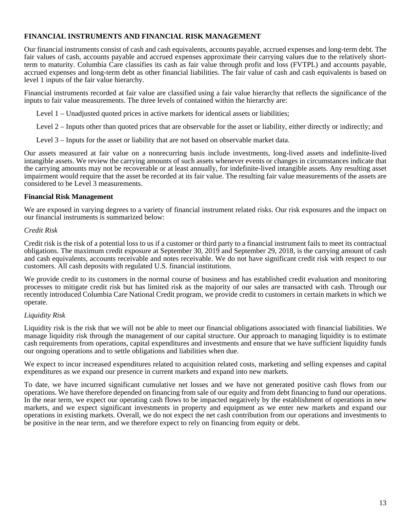## **FINANCIAL INSTRUMENTS AND FINANCIAL RISK MANAGEMENT**

Our financial instruments consist of cash and cash equivalents, accounts payable, accrued expenses and long-term debt. The fair values of cash, accounts payable and accrued expenses approximate their carrying values due to the relatively shortterm to maturity. Columbia Care classifies its cash as fair value through profit and loss (FVTPL) and accounts payable, accrued expenses and long-term debt as other financial liabilities. The fair value of cash and cash equivalents is based on level 1 inputs of the fair value hierarchy.

Financial instruments recorded at fair value are classified using a fair value hierarchy that reflects the significance of the inputs to fair value measurements. The three levels of contained within the hierarchy are:

Level 1 – Unadjusted quoted prices in active markets for identical assets or liabilities;

Level 2 – Inputs other than quoted prices that are observable for the asset or liability, either directly or indirectly; and

Level 3 – Inputs for the asset or liability that are not based on observable market data.

Our assets measured at fair value on a nonrecurring basis include investments, long-lived assets and indefinite-lived intangible assets. We review the carrying amounts of such assets whenever events or changes in circumstances indicate that the carrying amounts may not be recoverable or at least annually, for indefinite-lived intangible assets. Any resulting asset impairment would require that the asset be recorded at its fair value. The resulting fair value measurements of the assets are considered to be Level 3 measurements.

### **Financial Risk Management**

We are exposed in varying degrees to a variety of financial instrument related risks. Our risk exposures and the impact on our financial instruments is summarized below:

### *Credit Risk*

Credit risk is the risk of a potential loss to us if a customer or third party to a financial instrument fails to meet its contractual obligations. The maximum credit exposure at September 30, 2019 and September 29, 2018, is the carrying amount of cash and cash equivalents, accounts receivable and notes receivable. We do not have significant credit risk with respect to our customers. All cash deposits with regulated U.S. financial institutions.

We provide credit to its customers in the normal course of business and has established credit evaluation and monitoring processes to mitigate credit risk but has limited risk as the majority of our sales are transacted with cash. Through our recently introduced Columbia Care National Credit program, we provide credit to customers in certain markets in which we operate.

### *Liquidity Risk*

Liquidity risk is the risk that we will not be able to meet our financial obligations associated with financial liabilities. We manage liquidity risk through the management of our capital structure. Our approach to managing liquidity is to estimate cash requirements from operations, capital expenditures and investments and ensure that we have sufficient liquidity funds our ongoing operations and to settle obligations and liabilities when due.

We expect to incur increased expenditures related to acquisition related costs, marketing and selling expenses and capital expenditures as we expand our presence in current markets and expand into new markets.

To date, we have incurred significant cumulative net losses and we have not generated positive cash flows from our operations. We have therefore depended on financing from sale of our equity and from debt financing to fund our operations. In the near term, we expect our operating cash flows to be impacted negatively by the establishment of operations in new markets, and we expect significant investments in property and equipment as we enter new markets and expand our operations in existing markets. Overall, we do not expect the net cash contribution from our operations and investments to be positive in the near term, and we therefore expect to rely on financing from equity or debt.